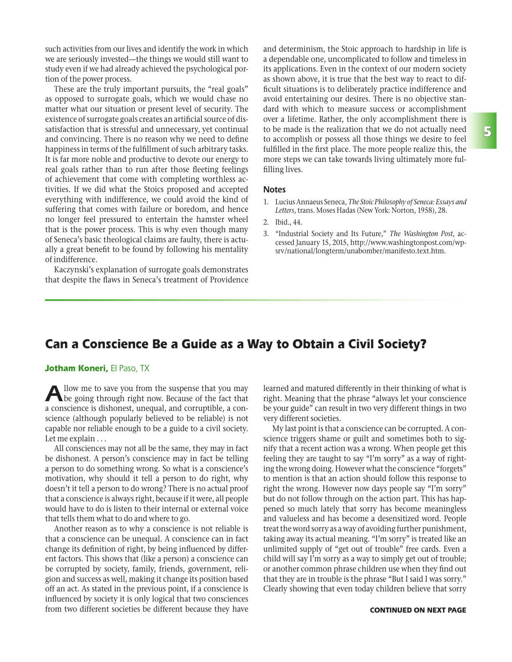such activities from our lives and identify the work in which we are seriously invested—the things we would still want to study even if we had already achieved the psychological portion of the power process.

These are the truly important pursuits, the "real goals" as opposed to surrogate goals, which we would chase no matter what our situation or present level of security. The existence of surrogate goals creates an artificial source of dissatisfaction that is stressful and unnecessary, yet continual and convincing. There is no reason why we need to define happiness in terms of the fulfillment of such arbitrary tasks. It is far more noble and productive to devote our energy to real goals rather than to run after those fleeting feelings of achievement that come with completing worthless activities. If we did what the Stoics proposed and accepted everything with indifference, we could avoid the kind of suffering that comes with failure or boredom, and hence no longer feel pressured to entertain the hamster wheel that is the power process. This is why even though many of Seneca's basic theological claims are faulty, there is actually a great benefit to be found by following his mentality of indifference.

Kaczynski's explanation of surrogate goals demonstrates that despite the flaws in Seneca's treatment of Providence and determinism, the Stoic approach to hardship in life is a dependable one, uncomplicated to follow and timeless in its applications. Even in the context of our modern society as shown above, it is true that the best way to react to difficult situations is to deliberately practice indifference and avoid entertaining our desires. There is no objective standard with which to measure success or accomplishment over a lifetime. Rather, the only accomplishment there is to be made is the realization that we do not actually need to accomplish or possess all those things we desire to feel fulfilled in the first place. The more people realize this, the more steps we can take towards living ultimately more fulfilling lives.

#### **Notes**

- 1. Lucius Annaeus Seneca, *The Stoic Philosophy of Seneca: Essays and Letters*, trans. Moses Hadas (New York: Norton, 1958), 28.
- 2. Ibid., 44.
- 3. "Industrial Society and Its Future," *The Washington Post*, accessed January 15, 2015, http://www.washingtonpost.com/wpsrv/national/longterm/unabomber/manifesto.text.htm.

## Can a Conscience Be a Guide as a Way to Obtain a Civil Society?

### Jotham Koneri, El Paso, TX

Allow me to save you from the suspense that you may be going through right now. Because of the fact that a conscience is dishonest, unequal, and corruptible, a conscience (although popularly believed to be reliable) is not capable nor reliable enough to be a guide to a civil society. Let me explain . . .

All consciences may not all be the same, they may in fact be dishonest. A person's conscience may in fact be telling a person to do something wrong. So what is a conscience's motivation, why should it tell a person to do right, why doesn't it tell a person to do wrong? There is no actual proof that a conscience is always right, because if it were, all people would have to do is listen to their internal or external voice that tells them what to do and where to go.

Another reason as to why a conscience is not reliable is that a conscience can be unequal. A conscience can in fact change its definition of right, by being influenced by different factors. This shows that (like a person) a conscience can be corrupted by society, family, friends, government, religion and success as well, making it change its position based off an act. As stated in the previous point, if a conscience is influenced by society it is only logical that two consciences from two different societies be different because they have learned and matured differently in their thinking of what is right. Meaning that the phrase "always let your conscience be your guide" can result in two very different things in two very different societies.

My last point is that a conscience can be corrupted. A conscience triggers shame or guilt and sometimes both to signify that a recent action was a wrong. When people get this feeling they are taught to say "I'm sorry" as a way of righting the wrong doing. However what the conscience "forgets" to mention is that an action should follow this response to right the wrong. However now days people say "I'm sorry" but do not follow through on the action part. This has happened so much lately that sorry has become meaningless and valueless and has become a desensitized word. People treat the word sorry as a way of avoiding further punishment, taking away its actual meaning. "I'm sorry" is treated like an unlimited supply of "get out of trouble" free cards. Even a child will say I'm sorry as a way to simply get out of trouble; or another common phrase children use when they find out that they are in trouble is the phrase "But I said I was sorry." Clearly showing that even today children believe that sorry

#### CONTINUED ON NEXT PAGE